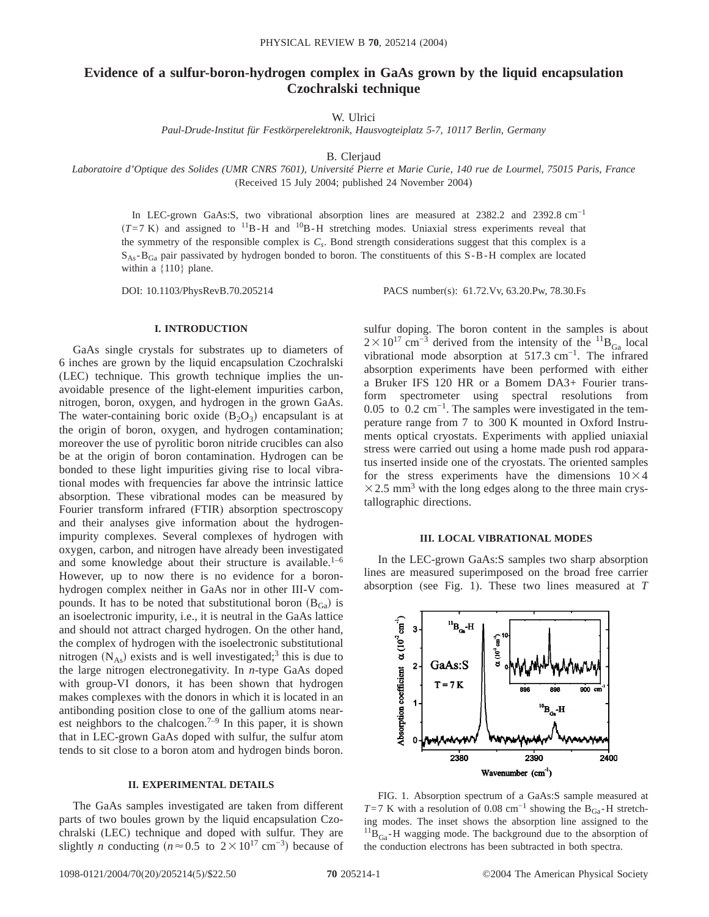# **Evidence of a sulfur-boron-hydrogen complex in GaAs grown by the liquid encapsulation Czochralski technique**

W. Ulrici

*Paul-Drude-Institut für Festkörperelektronik, Hausvogteiplatz 5-7, 10117 Berlin, Germany*

B. Clerjaud

*Laboratoire d'Optique des Solides (UMR CNRS 7601), Université Pierre et Marie Curie, 140 rue de Lourmel, 75015 Paris, France* (Received 15 July 2004; published 24 November 2004)

In LEC-grown GaAs:S, two vibrational absorption lines are measured at 2382.2 and 2392.8 cm−1  $(T=7 \text{ K})$  and assigned to <sup>11</sup>B-H and <sup>10</sup>B-H stretching modes. Uniaxial stress experiments reveal that the symmetry of the responsible complex is  $C_s$ . Bond strength considerations suggest that this complex is a  $S_{\text{As}}-B_{\text{Ga}}$  pair passivated by hydrogen bonded to boron. The constituents of this  $S-B-H$  complex are located within a {110} plane.

DOI: 10.1103/PhysRevB.70.205214 PACS number(s): 61.72.Vv, 63.20.Pw, 78.30.Fs

# **I. INTRODUCTION**

GaAs single crystals for substrates up to diameters of 6 inches are grown by the liquid encapsulation Czochralski (LEC) technique. This growth technique implies the unavoidable presence of the light-element impurities carbon, nitrogen, boron, oxygen, and hydrogen in the grown GaAs. The water-containing boric oxide  $(B_2O_3)$  encapsulant is at the origin of boron, oxygen, and hydrogen contamination; moreover the use of pyrolitic boron nitride crucibles can also be at the origin of boron contamination. Hydrogen can be bonded to these light impurities giving rise to local vibrational modes with frequencies far above the intrinsic lattice absorption. These vibrational modes can be measured by Fourier transform infrared (FTIR) absorption spectroscopy and their analyses give information about the hydrogenimpurity complexes. Several complexes of hydrogen with oxygen, carbon, and nitrogen have already been investigated and some knowledge about their structure is available.<sup>1–6</sup> However, up to now there is no evidence for a boronhydrogen complex neither in GaAs nor in other III-V compounds. It has to be noted that substitutional boron  $(B_{Ga})$  is an isoelectronic impurity, i.e., it is neutral in the GaAs lattice and should not attract charged hydrogen. On the other hand, the complex of hydrogen with the isoelectronic substitutional nitrogen  $(N_{As})$  exists and is well investigated;<sup>3</sup> this is due to the large nitrogen electronegativity. In *n*-type GaAs doped with group-VI donors, it has been shown that hydrogen makes complexes with the donors in which it is located in an antibonding position close to one of the gallium atoms nearest neighbors to the chalcogen.<sup>7–9</sup> In this paper, it is shown that in LEC-grown GaAs doped with sulfur, the sulfur atom tends to sit close to a boron atom and hydrogen binds boron.

#### **II. EXPERIMENTAL DETAILS**

The GaAs samples investigated are taken from different parts of two boules grown by the liquid encapsulation Czochralski (LEC) technique and doped with sulfur. They are slightly *n* conducting  $(n \approx 0.5 \text{ to } 2 \times 10^{17} \text{ cm}^{-3})$  because of sulfur doping. The boron content in the samples is about  $2 \times 10^{17}$  cm<sup>-3</sup> derived from the intensity of the <sup>11</sup>B<sub>Ga</sub> local vibrational mode absorption at 517.3 cm−1. The infrared absorption experiments have been performed with either a Bruker IFS 120 HR or a Bomem DA3+ Fourier transform spectrometer using spectral resolutions from 0.05 to 0.2 cm<sup>-1</sup>. The samples were investigated in the temperature range from 7 to 300 K mounted in Oxford Instruments optical cryostats. Experiments with applied uniaxial stress were carried out using a home made push rod apparatus inserted inside one of the cryostats. The oriented samples for the stress experiments have the dimensions  $10\times4$  $\times$  2.5 mm<sup>3</sup> with the long edges along to the three main crystallographic directions.

## **III. LOCAL VIBRATIONAL MODES**

In the LEC-grown GaAs:S samples two sharp absorption lines are measured superimposed on the broad free carrier absorption (see Fig. 1). These two lines measured at *T*



FIG. 1. Absorption spectrum of a GaAs:S sample measured at *T*=7 K with a resolution of 0.08 cm<sup>-1</sup> showing the B<sub>Ga</sub>-H stretching modes. The inset shows the absorption line assigned to the  $^{11}B_{Ga}$ -H wagging mode. The background due to the absorption of the conduction electrons has been subtracted in both spectra.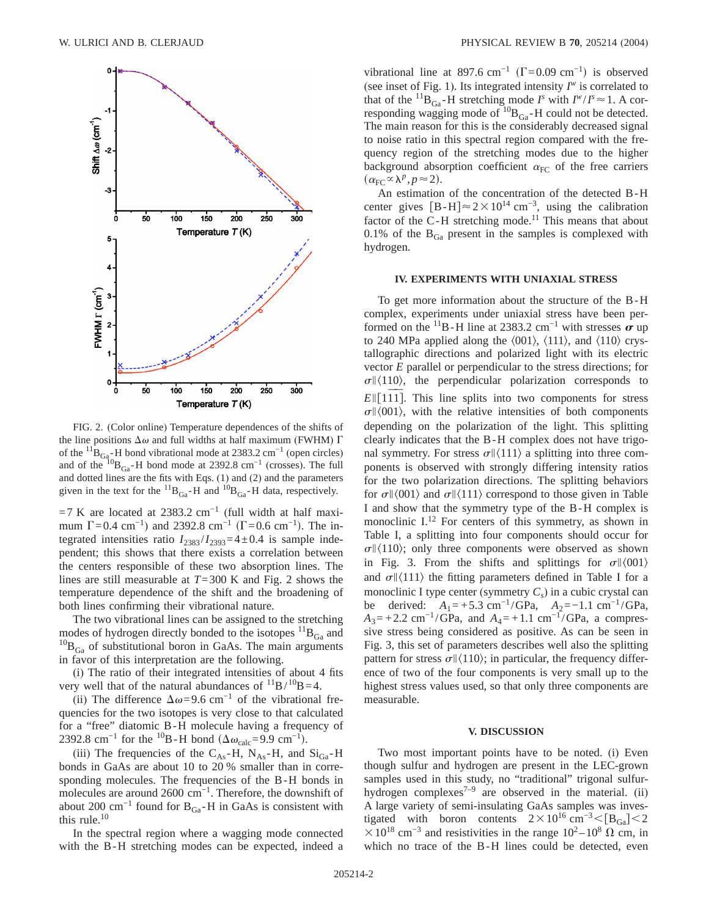

FIG. 2. (Color online) Temperature dependences of the shifts of the line positions  $\Delta\omega$  and full widths at half maximum (FWHM)  $\Gamma$ of the  ${}^{11}B_{\text{Ga}_0^-}H$  bond vibrational mode at 2383.2 cm<sup>-1</sup> (open circles) and of the  $10B_{Ga}$ -H bond mode at 2392.8 cm<sup>-1</sup> (crosses). The full and dotted lines are the fits with Eqs. (1) and (2) and the parameters given in the text for the  ${}^{11}B_{Ga}$ -H and  ${}^{10}B_{Ga}$ -H data, respectively.

 $=7$  K are located at 2383.2 cm<sup>-1</sup> (full width at half maximum  $\Gamma$ =0.4 cm<sup>-1</sup>) and 2392.8 cm<sup>-1</sup> ( $\Gamma$ =0.6 cm<sup>-1</sup>). The integrated intensities ratio  $I_{2383}/I_{2393}=4\pm0.4$  is sample independent; this shows that there exists a correlation between the centers responsible of these two absorption lines. The lines are still measurable at *T*=300 K and Fig. 2 shows the temperature dependence of the shift and the broadening of both lines confirming their vibrational nature.

The two vibrational lines can be assigned to the stretching modes of hydrogen directly bonded to the isotopes  ${}^{11}B_{Ga}$  and  $^{10}B_{Ga}$  of substitutional boron in GaAs. The main arguments in favor of this interpretation are the following.

(i) The ratio of their integrated intensities of about 4 fits very well that of the natural abundances of  $^{11}B/^{10}B=4$ .

(ii) The difference  $\Delta \omega$ =9.6 cm<sup>-1</sup> of the vibrational frequencies for the two isotopes is very close to that calculated for a "free" diatomic B-H molecule having a frequency of 2392.8 cm<sup>-1</sup> for the <sup>10</sup>B-H bond ( $\Delta \omega_{\text{calc}}$ =9.9 cm<sup>-1</sup>).

(iii) The frequencies of the  $C_{As}$ -H,  $N_{As}$ -H, and  $Si_{Ga}$ -H bonds in GaAs are about 10 to 20 % smaller than in corresponding molecules. The frequencies of the B-H bonds in molecules are around 2600 cm−1. Therefore, the downshift of about 200 cm<sup>-1</sup> found for B<sub>Ga</sub>-H in GaAs is consistent with this rule.<sup>10</sup>

In the spectral region where a wagging mode connected with the B-H stretching modes can be expected, indeed a

vibrational line at 897.6 cm<sup>-1</sup> ( $\Gamma$ =0.09 cm<sup>-1</sup>) is observed (see inset of Fig. 1). Its integrated intensity  $I^w$  is correlated to that of the <sup>11</sup>B<sub>Ga</sub> -H stretching mode *I*<sup>s</sup> with  $I^w/I^s \approx 1$ . A corresponding wagging mode of  ${}^{10}B_{Ga}$ -H could not be detected. The main reason for this is the considerably decreased signal to noise ratio in this spectral region compared with the frequency region of the stretching modes due to the higher background absorption coefficient  $\alpha_{FC}$  of the free carriers  $(\alpha_{\text{FC}} \propto \lambda^p, p \approx 2).$ 

An estimation of the concentration of the detected B-H center gives  $[B-H] \approx 2 \times 10^{14}$  cm<sup>-3</sup>, using the calibration factor of the C-H stretching mode.<sup>11</sup> This means that about  $0.1\%$  of the  $B_{Ga}$  present in the samples is complexed with hydrogen.

## **IV. EXPERIMENTS WITH UNIAXIAL STRESS**

To get more information about the structure of the B-H complex, experiments under uniaxial stress have been performed on the  $1^{1}B$ -H line at 2383.2 cm<sup>-1</sup> with stresses  $\sigma$  up to 240 MPa applied along the  $\langle 001 \rangle$ ,  $\langle 111 \rangle$ , and  $\langle 110 \rangle$  crystallographic directions and polarized light with its electric vector *E* parallel or perpendicular to the stress directions; for  $\sigma$  (110), the perpendicular polarization corresponds to  $E\left[\frac{1}{11}\right]$ . This line splits into two components for stress  $\sigma$  \left(001), with the relative intensities of both components depending on the polarization of the light. This splitting clearly indicates that the B-H complex does not have trigonal symmetry. For stress  $\sigma$  || $\langle$ 111) a splitting into three components is observed with strongly differing intensity ratios for the two polarization directions. The splitting behaviors for  $\sigma$   $\langle 001 \rangle$  and  $\sigma$   $\langle 111 \rangle$  correspond to those given in Table I and show that the symmetry type of the B-H complex is monoclinic  $I^{12}$  For centers of this symmetry, as shown in Table I, a splitting into four components should occur for  $\sigma$  (110); only three components were observed as shown in Fig. 3. From the shifts and splittings for  $\sigma$  \left(001) and  $\sigma$  (111) the fitting parameters defined in Table I for a monoclinic I type center (symmetry  $C_s$ ) in a cubic crystal can be derived:  $A_1 = +5.3$  cm<sup>-1</sup>/GPa,  $A_2 = -1.1$  cm<sup>-1</sup>/GPa,  $A_3 = +2.2$  cm<sup>-1</sup>/GPa, and  $A_4 = +1.1$  cm<sup>-1</sup>/GPa, a compressive stress being considered as positive. As can be seen in Fig. 3, this set of parameters describes well also the splitting pattern for stress  $\sigma$   $\vert\vert$  (110); in particular, the frequency difference of two of the four components is very small up to the highest stress values used, so that only three components are measurable.

## **V. DISCUSSION**

Two most important points have to be noted. (i) Even though sulfur and hydrogen are present in the LEC-grown samples used in this study, no "traditional" trigonal sulfurhydrogen complexes<sup>7–9</sup> are observed in the material. (ii) A large variety of semi-insulating GaAs samples was investigated with boron contents  $2 \times 10^{16}$  cm<sup>-3</sup> < [B<sub>Ga</sub>] < 2  $\times$ 10<sup>18</sup> cm<sup>-3</sup> and resistivities in the range 10<sup>2</sup> – 10<sup>8</sup>  $\Omega$  cm, in which no trace of the B-H lines could be detected, even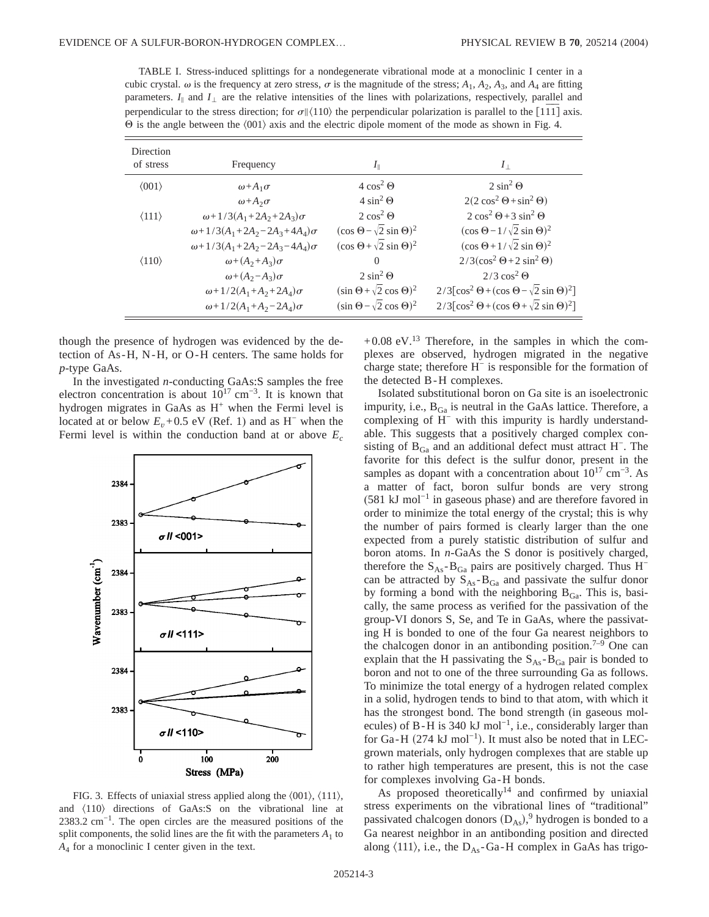TABLE I. Stress-induced splittings for a nondegenerate vibrational mode at a monoclinic I center in a cubic crystal.  $\omega$  is the frequency at zero stress,  $\sigma$  is the magnitude of the stress;  $A_1$ ,  $A_2$ ,  $A_3$ , and  $A_4$  are fitting parameters.  $I_{\parallel}$  and  $I_{\perp}$  are the relative intensities of the lines with polarizations, respectively, parallel and perpendicular to the stress direction; for  $\sigma$ || $\langle 110 \rangle$  the perpendicular polarization is parallel to the [1 $\overline{11}$ ] axis.  $\Theta$  is the angle between the  $\langle 001 \rangle$  axis and the electric dipole moment of the mode as shown in Fig. 4.

| Direction<br>of stress | Frequency                                      | $I_{\parallel}$                          | $I_{\perp}$                                                                                 |
|------------------------|------------------------------------------------|------------------------------------------|---------------------------------------------------------------------------------------------|
| $\langle 001 \rangle$  | $\omega + A_1\sigma$                           | $4 \cos^2 \Theta$                        | $2 \sin^2 \Theta$                                                                           |
|                        | $\omega + A_2 \sigma$                          | $4 \sin^2 \Theta$                        | $2(2 \cos^2 \Theta + \sin^2 \Theta)$                                                        |
| $\langle 111 \rangle$  | $\omega + 1/3(A_1 + 2A_2 + 2A_3)\sigma$        | $2 \cos^2 \Theta$                        | $2\cos^2\Theta + 3\sin^2\Theta$                                                             |
|                        | $\omega + 1/3(A_1 + 2A_2 - 2A_3 + 4A_4)\sigma$ | $(\cos \Theta - \sqrt{2} \sin \Theta)^2$ | $(\cos \Theta - 1/\sqrt{2} \sin \Theta)^2$                                                  |
|                        | $\omega + 1/3(A_1 + 2A_2 - 2A_3 - 4A_4)\sigma$ | $(\cos \Theta + \sqrt{2} \sin \Theta)^2$ | $(\cos \Theta + 1/\sqrt{2} \sin \Theta)^2$                                                  |
| $\langle 110 \rangle$  | $\omega + (A_2 + A_3)\sigma$                   | $\Omega$                                 | $2/3(\cos^2 \Theta + 2 \sin^2 \Theta)$                                                      |
|                        | $\omega + (A_2 - A_3)\sigma$                   | $2 \sin^2 \Theta$                        | $2/3 \cos^2 \Theta$                                                                         |
|                        | $\omega + 1/2(A_1+A_2+2A_4)\sigma$             | $(\sin \Theta + \sqrt{2} \cos \Theta)^2$ | $2/3$ [cos <sup>2</sup> $\Theta$ + (cos $\Theta$ – $\sqrt{2}$ sin $\Theta$ ) <sup>2</sup> ] |
|                        | $\omega + 1/2(A_1+A_2-2A_4)\sigma$             | $(\sin \Theta - \sqrt{2} \cos \Theta)^2$ | $2/3$ [cos <sup>2</sup> $\Theta$ + (cos $\Theta$ + $\sqrt{2}$ sin $\Theta$ ) <sup>2</sup> ] |

though the presence of hydrogen was evidenced by the detection of As-H, N-H, or O-H centers. The same holds for *p*-type GaAs.

In the investigated *n*-conducting GaAs:S samples the free electron concentration is about  $10^{17}$  cm<sup>-3</sup>. It is known that hydrogen migrates in GaAs as  $H^+$  when the Fermi level is located at or below  $E_v+0.5$  eV (Ref. 1) and as H<sup>-</sup> when the Fermi level is within the conduction band at or above  $E_c$ 



FIG. 3. Effects of uniaxial stress applied along the  $\langle 001 \rangle$ ,  $\langle 111 \rangle$ , and  $\langle 110 \rangle$  directions of GaAs:S on the vibrational line at 2383.2 cm<sup>-1</sup>. The open circles are the measured positions of the split components, the solid lines are the fit with the parameters  $A_1$  to *A*<sup>4</sup> for a monoclinic I center given in the text.

 $+0.08$  eV.<sup>13</sup> Therefore, in the samples in which the complexes are observed, hydrogen migrated in the negative charge state; therefore H<sup>−</sup> is responsible for the formation of the detected B-H complexes.

Isolated substitutional boron on Ga site is an isoelectronic impurity, i.e.,  $B_{Ga}$  is neutral in the GaAs lattice. Therefore, a complexing of H<sup>−</sup> with this impurity is hardly understandable. This suggests that a positively charged complex consisting of  $B_{Ga}$  and an additional defect must attract H<sup>-</sup>. The favorite for this defect is the sulfur donor, present in the samples as dopant with a concentration about 10<sup>17</sup> cm<sup>-3</sup>. As a matter of fact, boron sulfur bonds are very strong  $(581 \text{ kJ mol}^{-1}$  in gaseous phase) and are therefore favored in order to minimize the total energy of the crystal; this is why the number of pairs formed is clearly larger than the one expected from a purely statistic distribution of sulfur and boron atoms. In *n*-GaAs the S donor is positively charged, therefore the  $S_{As}$ - $B_{Ga}$  pairs are positively charged. Thus H<sup>-</sup> can be attracted by  $S_{As} - B_{Ga}$  and passivate the sulfur donor by forming a bond with the neighboring  $B_{Ga}$ . This is, basically, the same process as verified for the passivation of the group-VI donors S, Se, and Te in GaAs, where the passivating H is bonded to one of the four Ga nearest neighbors to the chalcogen donor in an antibonding position.<sup>7–9</sup> One can explain that the H passivating the  $S_{As} - B_{Ga}$  pair is bonded to boron and not to one of the three surrounding Ga as follows. To minimize the total energy of a hydrogen related complex in a solid, hydrogen tends to bind to that atom, with which it has the strongest bond. The bond strength (in gaseous molecules) of B-H is 340 kJ mol<sup>-1</sup>, i.e., considerably larger than for Ga-H  $(274 \text{ kJ mol}^{-1})$ . It must also be noted that in LECgrown materials, only hydrogen complexes that are stable up to rather high temperatures are present, this is not the case for complexes involving Ga-H bonds.

As proposed theoretically<sup>14</sup> and confirmed by uniaxial stress experiments on the vibrational lines of "traditional" passivated chalcogen donors  $(D_{As})$ ,<sup>9</sup> hydrogen is bonded to a Ga nearest neighbor in an antibonding position and directed along  $\langle 111 \rangle$ , i.e., the D<sub>As</sub>-Ga-H complex in GaAs has trigo-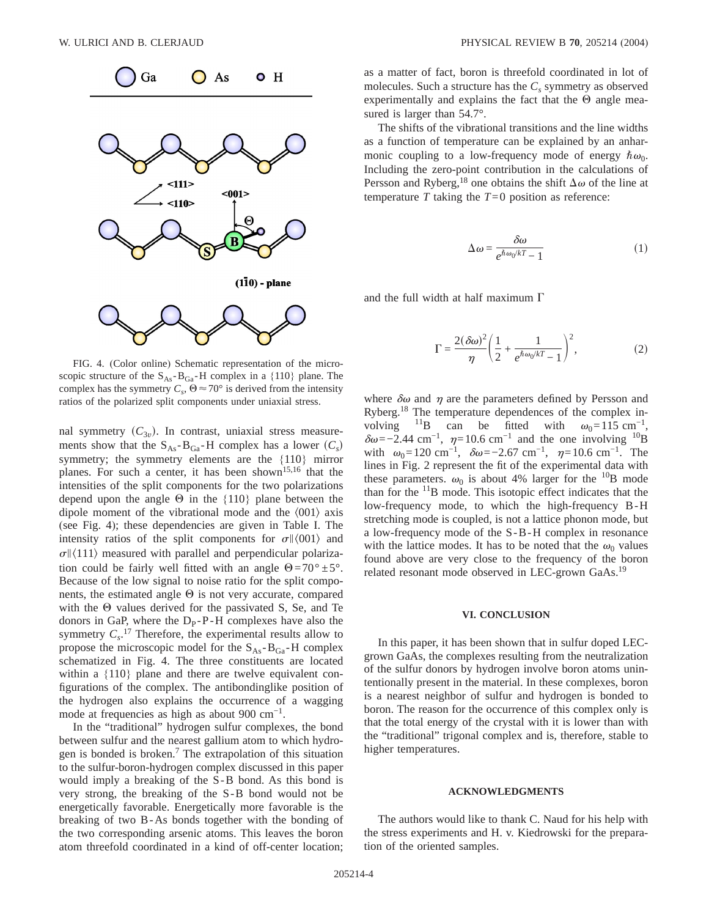

FIG. 4. (Color online) Schematic representation of the microscopic structure of the  $S_{As} - B_{Ga} - H$  complex in a {110} plane. The complex has the symmetry  $C_s$ ,  $\Theta \approx 70^\circ$  is derived from the intensity ratios of the polarized split components under uniaxial stress.

nal symmetry  $(C_{3v})$ . In contrast, uniaxial stress measurements show that the  $S_{As} - B_{Ga} - H$  complex has a lower  $(C_s)$ symmetry; the symmetry elements are the {110} mirror planes. For such a center, it has been shown<sup>15,16</sup> that the intensities of the split components for the two polarizations depend upon the angle  $\Theta$  in the {110} plane between the dipole moment of the vibrational mode and the  $\langle 001 \rangle$  axis (see Fig. 4); these dependencies are given in Table I. The intensity ratios of the split components for  $\sigma$  \le (001) and  $\sigma$  \le \le 111} measured with parallel and perpendicular polarization could be fairly well fitted with an angle  $\Theta = 70^{\circ} \pm 5^{\circ}$ . Because of the low signal to noise ratio for the split components, the estimated angle  $\Theta$  is not very accurate, compared with the  $\Theta$  values derived for the passivated S, Se, and Te donors in GaP, where the  $D_{p} - P - H$  complexes have also the symmetry  $C_s$ <sup>17</sup> Therefore, the experimental results allow to propose the microscopic model for the  $S_{As} - B_{Ga} - H$  complex schematized in Fig. 4. The three constituents are located within a {110} plane and there are twelve equivalent configurations of the complex. The antibondinglike position of the hydrogen also explains the occurrence of a wagging mode at frequencies as high as about 900  $cm^{-1}$ .

In the "traditional" hydrogen sulfur complexes, the bond between sulfur and the nearest gallium atom to which hydrogen is bonded is broken.<sup>7</sup> The extrapolation of this situation to the sulfur-boron-hydrogen complex discussed in this paper would imply a breaking of the S-B bond. As this bond is very strong, the breaking of the S-B bond would not be energetically favorable. Energetically more favorable is the breaking of two B-As bonds together with the bonding of the two corresponding arsenic atoms. This leaves the boron atom threefold coordinated in a kind of off-center location; as a matter of fact, boron is threefold coordinated in lot of molecules. Such a structure has the  $C_s$  symmetry as observed experimentally and explains the fact that the  $\Theta$  angle measured is larger than 54.7°.

The shifts of the vibrational transitions and the line widths as a function of temperature can be explained by an anharmonic coupling to a low-frequency mode of energy  $\hbar \omega_0$ . Including the zero-point contribution in the calculations of Persson and Ryberg,<sup>18</sup> one obtains the shift  $\Delta\omega$  of the line at temperature  $T$  taking the  $T=0$  position as reference:

$$
\Delta \omega = \frac{\delta \omega}{e^{\hbar \omega_0 / kT} - 1} \tag{1}
$$

and the full width at half maximum  $\Gamma$ 

$$
\Gamma = \frac{2(\delta\omega)^2}{\eta} \left(\frac{1}{2} + \frac{1}{e^{\hbar\omega_0/kT} - 1}\right)^2,\tag{2}
$$

where  $\delta\omega$  and  $\eta$  are the parameters defined by Persson and Ryberg.18 The temperature dependences of the complex involving <sup>11</sup>B can be fitted with  $\omega_0=115 \text{ cm}^{-1}$ ,  $\delta\omega$ =−2.44 cm<sup>-1</sup>,  $\eta$ =10.6 cm<sup>-1</sup> and the one involving <sup>10</sup>B with  $\omega_0=120 \text{ cm}^{-1}$ ,  $\delta\omega=-2.67 \text{ cm}^{-1}$ ,  $\eta=10.6 \text{ cm}^{-1}$ . The lines in Fig. 2 represent the fit of the experimental data with these parameters.  $\omega_0$  is about 4% larger for the <sup>10</sup>B mode than for the  $<sup>11</sup>B$  mode. This isotopic effect indicates that the</sup> low-frequency mode, to which the high-frequency B-H stretching mode is coupled, is not a lattice phonon mode, but a low-frequency mode of the S-B-H complex in resonance with the lattice modes. It has to be noted that the  $\omega_0$  values found above are very close to the frequency of the boron related resonant mode observed in LEC-grown GaAs.<sup>19</sup>

#### **VI. CONCLUSION**

In this paper, it has been shown that in sulfur doped LECgrown GaAs, the complexes resulting from the neutralization of the sulfur donors by hydrogen involve boron atoms unintentionally present in the material. In these complexes, boron is a nearest neighbor of sulfur and hydrogen is bonded to boron. The reason for the occurrence of this complex only is that the total energy of the crystal with it is lower than with the "traditional" trigonal complex and is, therefore, stable to higher temperatures.

#### **ACKNOWLEDGMENTS**

The authors would like to thank C. Naud for his help with the stress experiments and H. v. Kiedrowski for the preparation of the oriented samples.